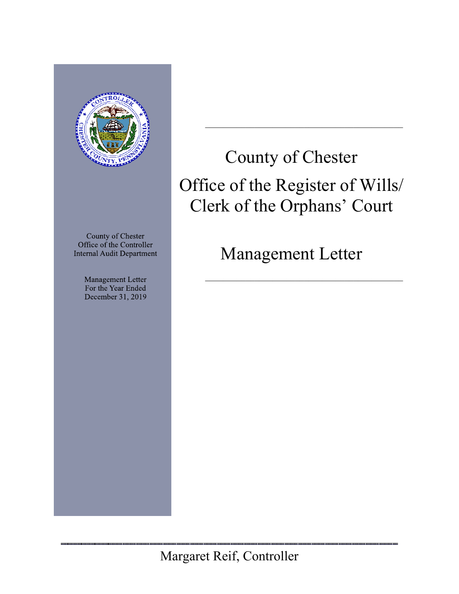

County of Chester Office of the Controller **Internal Audit Department** 

> Management Letter For the Year Ended December 31, 2019

County of Chester Office of the Register of Wills/ Clerk of the Orphans' Court

 $\mathcal{L}_\mathcal{L} = \mathcal{L}_\mathcal{L} = \mathcal{L}_\mathcal{L} = \mathcal{L}_\mathcal{L} = \mathcal{L}_\mathcal{L} = \mathcal{L}_\mathcal{L} = \mathcal{L}_\mathcal{L} = \mathcal{L}_\mathcal{L} = \mathcal{L}_\mathcal{L} = \mathcal{L}_\mathcal{L} = \mathcal{L}_\mathcal{L} = \mathcal{L}_\mathcal{L} = \mathcal{L}_\mathcal{L} = \mathcal{L}_\mathcal{L} = \mathcal{L}_\mathcal{L} = \mathcal{L}_\mathcal{L} = \mathcal{L}_\mathcal{L}$ 

Management Letter

 $\mathcal{L}_\mathcal{L} = \mathcal{L}_\mathcal{L} = \mathcal{L}_\mathcal{L} = \mathcal{L}_\mathcal{L} = \mathcal{L}_\mathcal{L} = \mathcal{L}_\mathcal{L} = \mathcal{L}_\mathcal{L} = \mathcal{L}_\mathcal{L} = \mathcal{L}_\mathcal{L} = \mathcal{L}_\mathcal{L} = \mathcal{L}_\mathcal{L} = \mathcal{L}_\mathcal{L} = \mathcal{L}_\mathcal{L} = \mathcal{L}_\mathcal{L} = \mathcal{L}_\mathcal{L} = \mathcal{L}_\mathcal{L} = \mathcal{L}_\mathcal{L}$ 

<u>n uumuu uumuu uumuu u</u>

Margaret Reif, Controller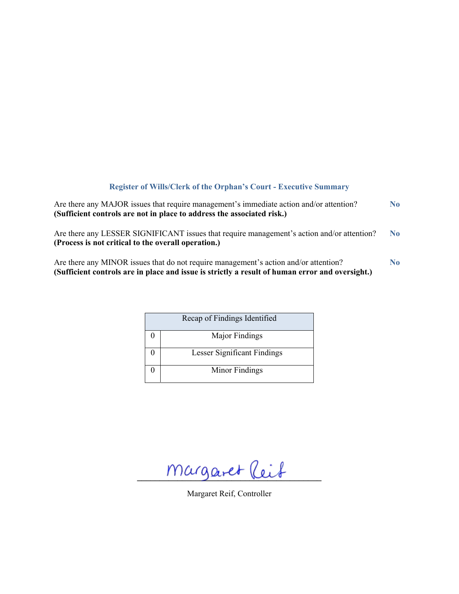## **Register of Wills/Clerk of the Orphan's Court - Executive Summary**

| Are there any MAJOR issues that require management's immediate action and/or attention?<br>(Sufficient controls are not in place to address the associated risk.)                       | N <sub>0</sub> |
|-----------------------------------------------------------------------------------------------------------------------------------------------------------------------------------------|----------------|
| Are there any LESSER SIGNIFICANT issues that require management's action and/or attention?<br>(Process is not critical to the overall operation.)                                       | N <sub>0</sub> |
| Are there any MINOR issues that do not require management's action and/or attention?<br>(Sufficient controls are in place and issue is strictly a result of human error and oversight.) | N <sub>0</sub> |

| Recap of Findings Identified       |
|------------------------------------|
| Major Findings                     |
| <b>Lesser Significant Findings</b> |
| Minor Findings                     |

 $margaret$  leit

Margaret Reif, Controller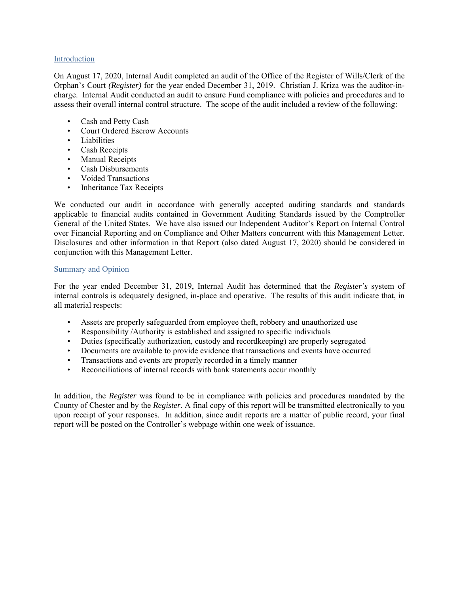## Introduction

On August 17, 2020, Internal Audit completed an audit of the Office of the Register of Wills/Clerk of the Orphan's Court *(Register)* for the year ended December 31, 2019. Christian J. Kriza was the auditor-incharge. Internal Audit conducted an audit to ensure Fund compliance with policies and procedures and to assess their overall internal control structure. The scope of the audit included a review of the following:

- Cash and Petty Cash
- Court Ordered Escrow Accounts
- Liabilities
- Cash Receipts
- Manual Receipts
- Cash Disbursements
- Voided Transactions
- Inheritance Tax Receipts

We conducted our audit in accordance with generally accepted auditing standards and standards applicable to financial audits contained in Government Auditing Standards issued by the Comptroller General of the United States. We have also issued our Independent Auditor's Report on Internal Control over Financial Reporting and on Compliance and Other Matters concurrent with this Management Letter. Disclosures and other information in that Report (also dated August 17, 2020) should be considered in conjunction with this Management Letter.

## Summary and Opinion

For the year ended December 31, 2019, Internal Audit has determined that the *Register's* system of internal controls is adequately designed, in-place and operative. The results of this audit indicate that, in all material respects:

- Assets are properly safeguarded from employee theft, robbery and unauthorized use
- Responsibility /Authority is established and assigned to specific individuals
- Duties (specifically authorization, custody and recordkeeping) are properly segregated
- Documents are available to provide evidence that transactions and events have occurred
- Transactions and events are properly recorded in a timely manner
- Reconciliations of internal records with bank statements occur monthly

In addition, the *Register* was found to be in compliance with policies and procedures mandated by the County of Chester and by the *Register.* A final copy of this report will be transmitted electronically to you upon receipt of your responses. In addition, since audit reports are a matter of public record, your final report will be posted on the Controller's webpage within one week of issuance.